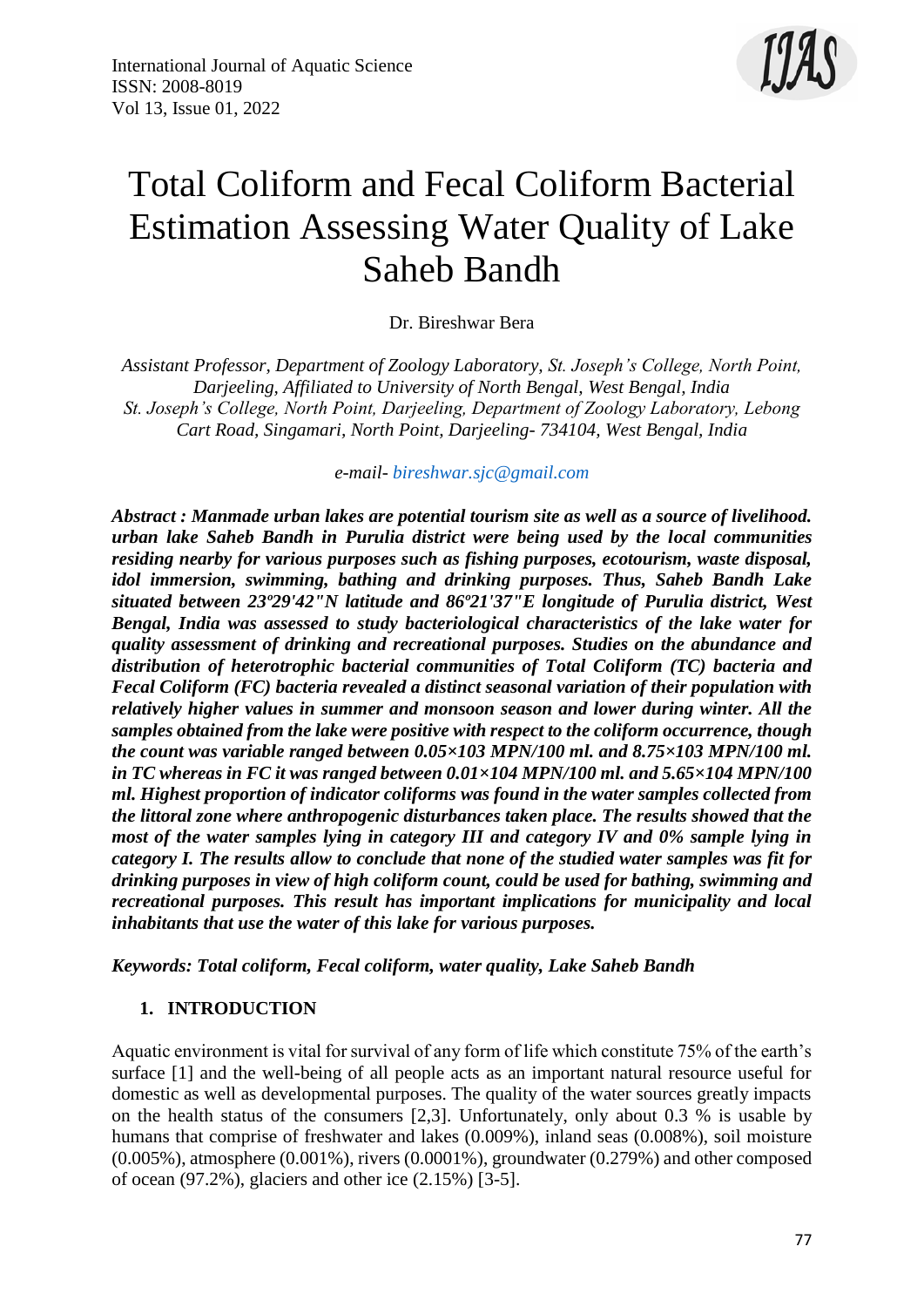

# Total Coliform and Fecal Coliform Bacterial Estimation Assessing Water Quality of Lake Saheb Bandh

Dr. Bireshwar Bera

*Assistant Professor, Department of Zoology Laboratory, St. Joseph's College, North Point, Darjeeling, Affiliated to University of North Bengal, West Bengal, India St. Joseph's College, North Point, Darjeeling, Department of Zoology Laboratory, Lebong Cart Road, Singamari, North Point, Darjeeling- 734104, West Bengal, India*

*e-mail- [bireshwar.sjc@gmail.com](mailto:bireshwar.sjc@gmail.com)*

*Abstract : Manmade urban lakes are potential tourism site as well as a source of livelihood. urban lake Saheb Bandh in Purulia district were being used by the local communities residing nearby for various purposes such as fishing purposes, ecotourism, waste disposal, idol immersion, swimming, bathing and drinking purposes. Thus, Saheb Bandh Lake situated between 23º29'42"N latitude and 86º21'37"E longitude of Purulia district, West Bengal, India was assessed to study bacteriological characteristics of the lake water for quality assessment of drinking and recreational purposes. Studies on the abundance and distribution of heterotrophic bacterial communities of Total Coliform (TC) bacteria and Fecal Coliform (FC) bacteria revealed a distinct seasonal variation of their population with relatively higher values in summer and monsoon season and lower during winter. All the samples obtained from the lake were positive with respect to the coliform occurrence, though the count was variable ranged between 0.05×103 MPN/100 ml. and 8.75×103 MPN/100 ml. in TC whereas in FC it was ranged between 0.01×104 MPN/100 ml. and 5.65×104 MPN/100 ml. Highest proportion of indicator coliforms was found in the water samples collected from the littoral zone where anthropogenic disturbances taken place. The results showed that the most of the water samples lying in category III and category IV and 0% sample lying in category I. The results allow to conclude that none of the studied water samples was fit for drinking purposes in view of high coliform count, could be used for bathing, swimming and recreational purposes. This result has important implications for municipality and local inhabitants that use the water of this lake for various purposes.*

*Keywords: Total coliform, Fecal coliform, water quality, Lake Saheb Bandh*

# **1. INTRODUCTION**

Aquatic environment is vital for survival of any form of life which constitute 75% of the earth's surface [1] and the well-being of all people acts as an important natural resource useful for domestic as well as developmental purposes. The quality of the water sources greatly impacts on the health status of the consumers [2,3]. Unfortunately, only about 0.3 % is usable by humans that comprise of freshwater and lakes (0.009%), inland seas (0.008%), soil moisture (0.005%), atmosphere (0.001%), rivers (0.0001%), groundwater (0.279%) and other composed of ocean (97.2%), glaciers and other ice (2.15%) [3-5].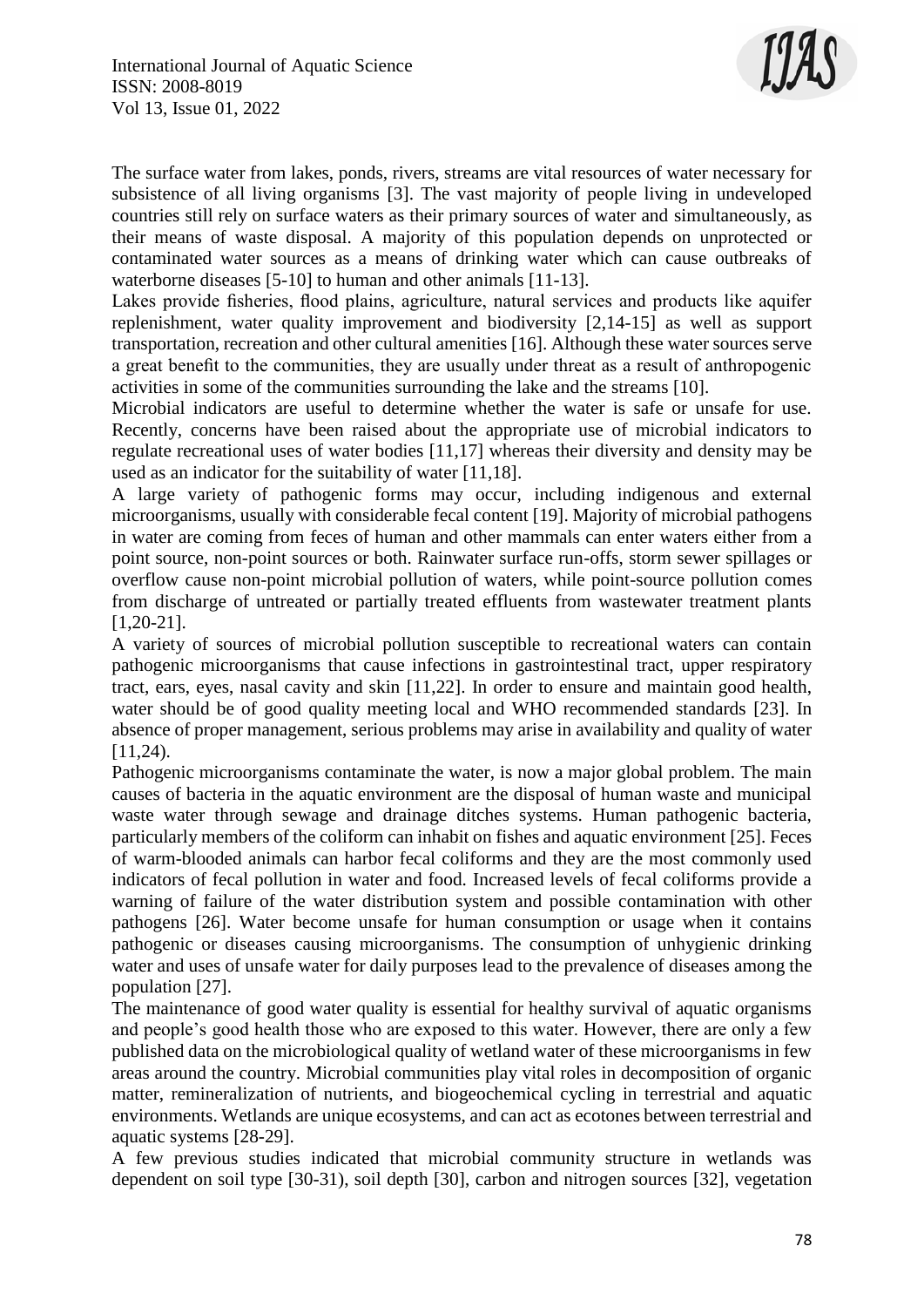

The surface water from lakes, ponds, rivers, streams are vital resources of water necessary for subsistence of all living organisms [3]. The vast majority of people living in undeveloped countries still rely on surface waters as their primary sources of water and simultaneously, as their means of waste disposal. A majority of this population depends on unprotected or contaminated water sources as a means of drinking water which can cause outbreaks of waterborne diseases [5-10] to human and other animals [11-13].

Lakes provide fisheries, flood plains, agriculture, natural services and products like aquifer replenishment, water quality improvement and biodiversity [2,14-15] as well as support transportation, recreation and other cultural amenities [16]. Although these water sources serve a great benefit to the communities, they are usually under threat as a result of anthropogenic activities in some of the communities surrounding the lake and the streams [10].

Microbial indicators are useful to determine whether the water is safe or unsafe for use. Recently, concerns have been raised about the appropriate use of microbial indicators to regulate recreational uses of water bodies [11,17] whereas their diversity and density may be used as an indicator for the suitability of water [11,18].

A large variety of pathogenic forms may occur, including indigenous and external microorganisms, usually with considerable fecal content [19]. Majority of microbial pathogens in water are coming from feces of human and other mammals can enter waters either from a point source, non-point sources or both. Rainwater surface run-offs, storm sewer spillages or overflow cause non-point microbial pollution of waters, while point-source pollution comes from discharge of untreated or partially treated effluents from wastewater treatment plants [1,20-21].

A variety of sources of microbial pollution susceptible to recreational waters can contain pathogenic microorganisms that cause infections in gastrointestinal tract, upper respiratory tract, ears, eyes, nasal cavity and skin [11,22]. In order to ensure and maintain good health, water should be of good quality meeting local and WHO recommended standards [23]. In absence of proper management, serious problems may arise in availability and quality of water  $[11,24)$ .

Pathogenic microorganisms contaminate the water, is now a major global problem. The main causes of bacteria in the aquatic environment are the disposal of human waste and municipal waste water through sewage and drainage ditches systems. Human pathogenic bacteria, particularly members of the coliform can inhabit on fishes and aquatic environment [25]. Feces of warm-blooded animals can harbor fecal coliforms and they are the most commonly used indicators of fecal pollution in water and food. Increased levels of fecal coliforms provide a warning of failure of the water distribution system and possible contamination with other pathogens [26]. Water become unsafe for human consumption or usage when it contains pathogenic or diseases causing microorganisms. The consumption of unhygienic drinking water and uses of unsafe water for daily purposes lead to the prevalence of diseases among the population [27].

The maintenance of good water quality is essential for healthy survival of aquatic organisms and people's good health those who are exposed to this water. However, there are only a few published data on the microbiological quality of wetland water of these microorganisms in few areas around the country. Microbial communities play vital roles in decomposition of organic matter, remineralization of nutrients, and biogeochemical cycling in terrestrial and aquatic environments. Wetlands are unique ecosystems, and can act as ecotones between terrestrial and aquatic systems [28-29].

A few previous studies indicated that microbial community structure in wetlands was dependent on soil type [30-31), soil depth [30], carbon and nitrogen sources [32], vegetation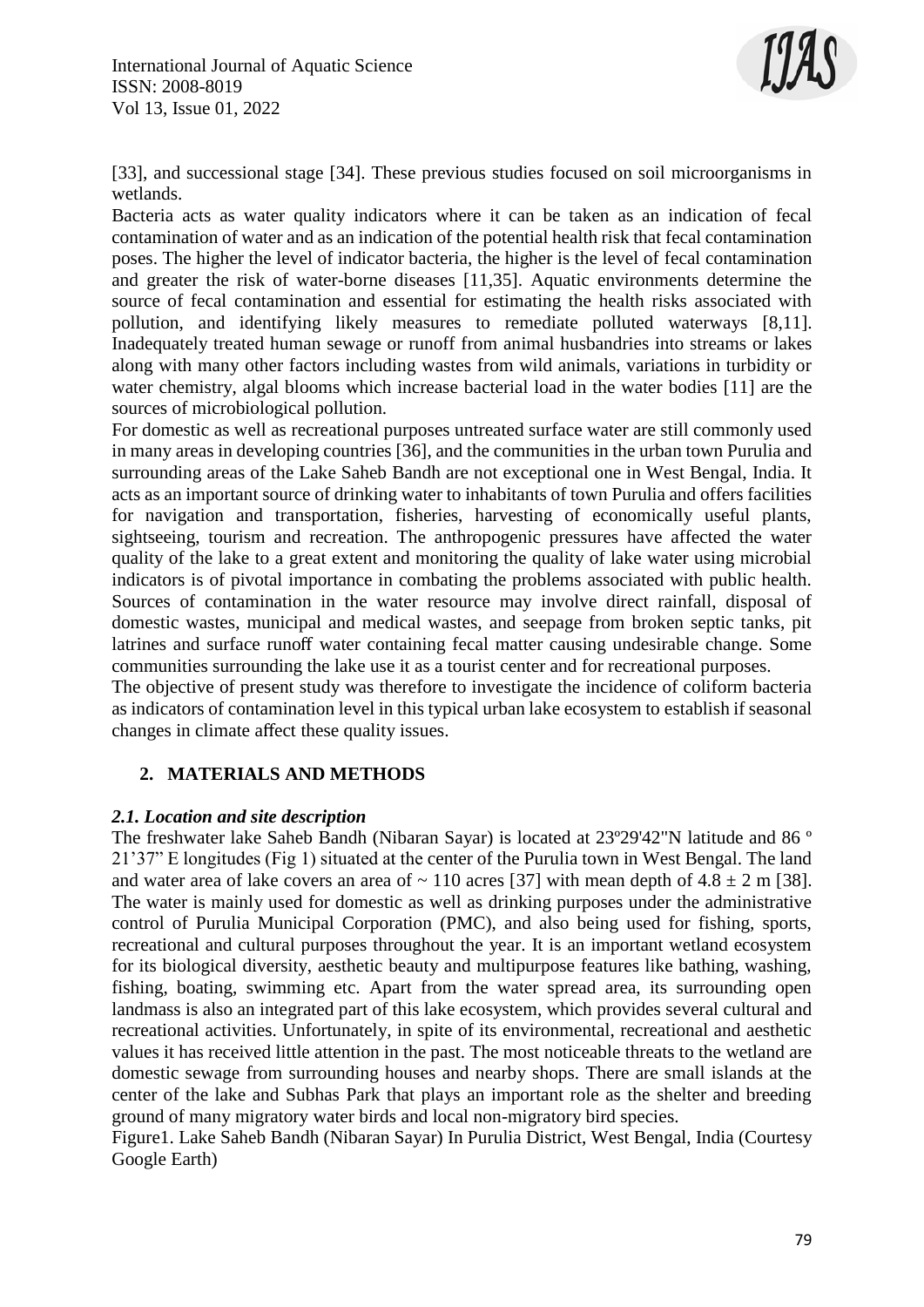

[33], and successional stage [34]. These previous studies focused on soil microorganisms in wetlands.

Bacteria acts as water quality indicators where it can be taken as an indication of fecal contamination of water and as an indication of the potential health risk that fecal contamination poses. The higher the level of indicator bacteria, the higher is the level of fecal contamination and greater the risk of water-borne diseases [11,35]. Aquatic environments determine the source of fecal contamination and essential for estimating the health risks associated with pollution, and identifying likely measures to remediate polluted waterways [8,11]. Inadequately treated human sewage or runoff from animal husbandries into streams or lakes along with many other factors including wastes from wild animals, variations in turbidity or water chemistry, algal blooms which increase bacterial load in the water bodies [11] are the sources of microbiological pollution.

For domestic as well as recreational purposes untreated surface water are still commonly used in many areas in developing countries [36], and the communities in the urban town Purulia and surrounding areas of the Lake Saheb Bandh are not exceptional one in West Bengal, India. It acts as an important source of drinking water to inhabitants of town Purulia and offers facilities for navigation and transportation, fisheries, harvesting of economically useful plants, sightseeing, tourism and recreation. The anthropogenic pressures have affected the water quality of the lake to a great extent and monitoring the quality of lake water using microbial indicators is of pivotal importance in combating the problems associated with public health. Sources of contamination in the water resource may involve direct rainfall, disposal of domestic wastes, municipal and medical wastes, and seepage from broken septic tanks, pit latrines and surface runoff water containing fecal matter causing undesirable change. Some communities surrounding the lake use it as a tourist center and for recreational purposes.

The objective of present study was therefore to investigate the incidence of coliform bacteria as indicators of contamination level in this typical urban lake ecosystem to establish if seasonal changes in climate affect these quality issues.

# **2. MATERIALS AND METHODS**

#### *2.1. Location and site description*

The freshwater lake Saheb Bandh (Nibaran Sayar) is located at 23º29'42"N latitude and 86 º 21'37" E longitudes (Fig 1) situated at the center of the Purulia town in West Bengal. The land and water area of lake covers an area of  $\sim 110$  acres [37] with mean depth of  $4.8 \pm 2$  m [38]. The water is mainly used for domestic as well as drinking purposes under the administrative control of Purulia Municipal Corporation (PMC), and also being used for fishing, sports, recreational and cultural purposes throughout the year. It is an important wetland ecosystem for its biological diversity, aesthetic beauty and multipurpose features like bathing, washing, fishing, boating, swimming etc. Apart from the water spread area, its surrounding open landmass is also an integrated part of this lake ecosystem, which provides several cultural and recreational activities. Unfortunately, in spite of its environmental, recreational and aesthetic values it has received little attention in the past. The most noticeable threats to the wetland are domestic sewage from surrounding houses and nearby shops. There are small islands at the center of the lake and Subhas Park that plays an important role as the shelter and breeding ground of many migratory water birds and local non-migratory bird species.

Figure1. Lake Saheb Bandh (Nibaran Sayar) In Purulia District, West Bengal, India (Courtesy Google Earth)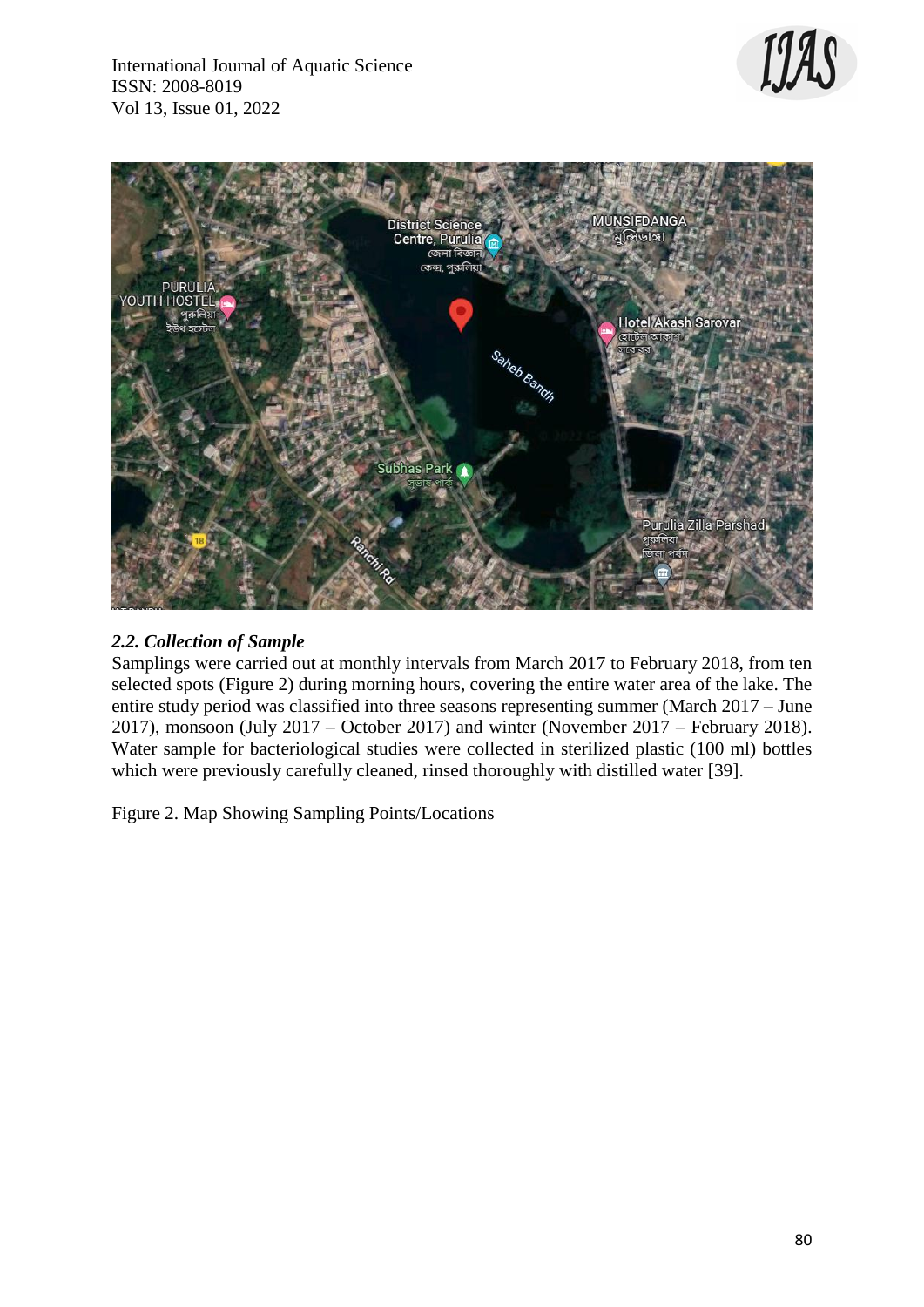



# *2.2. Collection of Sample*

Samplings were carried out at monthly intervals from March 2017 to February 2018, from ten selected spots (Figure 2) during morning hours, covering the entire water area of the lake. The entire study period was classified into three seasons representing summer (March 2017 – June 2017), monsoon (July 2017 – October 2017) and winter (November 2017 – February 2018). Water sample for bacteriological studies were collected in sterilized plastic (100 ml) bottles which were previously carefully cleaned, rinsed thoroughly with distilled water [39].

Figure 2. Map Showing Sampling Points/Locations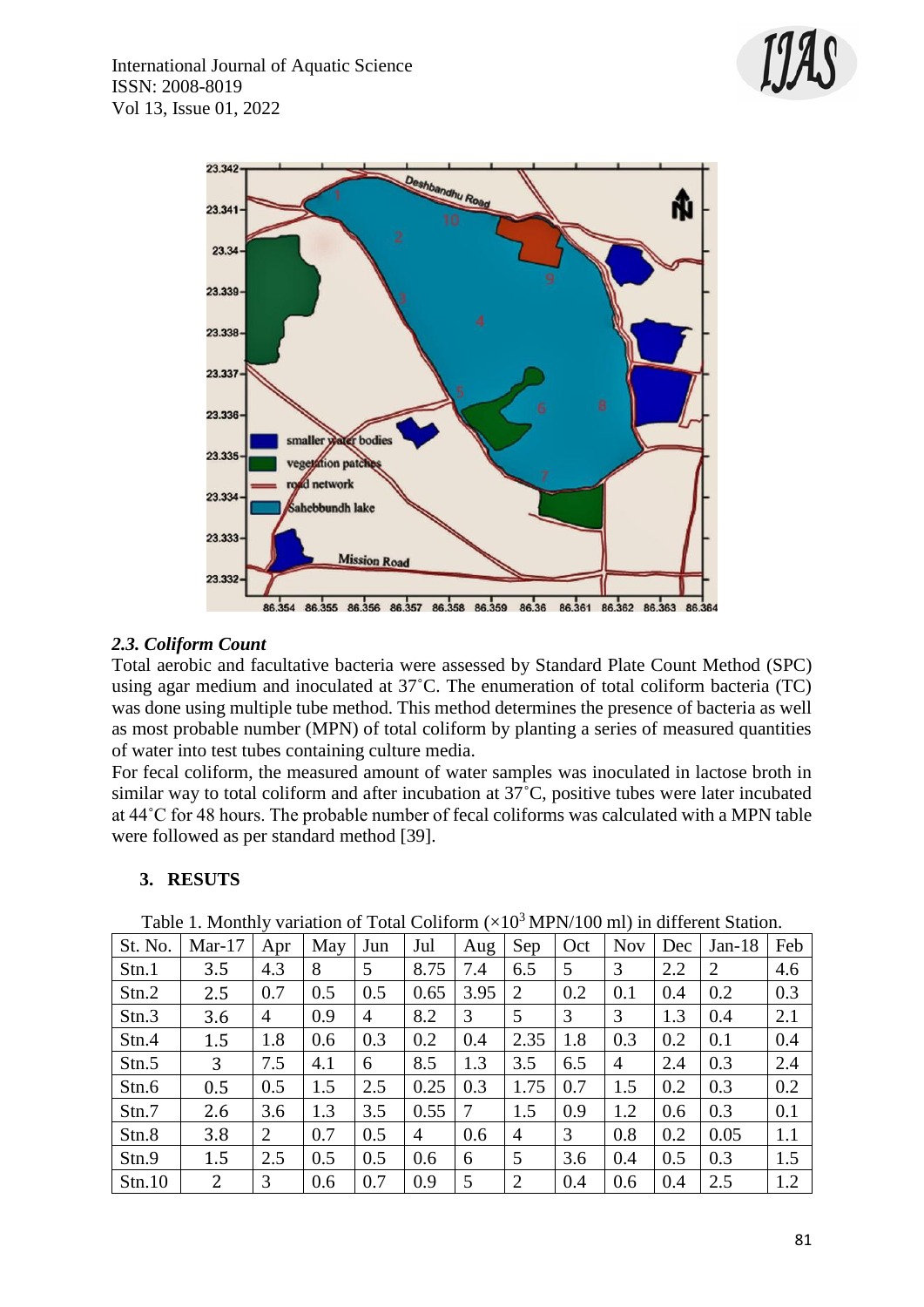



### *2.3. Coliform Count*

Total aerobic and facultative bacteria were assessed by Standard Plate Count Method (SPC) using agar medium and inoculated at 37˚C. The enumeration of total coliform bacteria (TC) was done using multiple tube method. This method determines the presence of bacteria as well as most probable number (MPN) of total coliform by planting a series of measured quantities of water into test tubes containing culture media.

For fecal coliform, the measured amount of water samples was inoculated in lactose broth in similar way to total coliform and after incubation at 37˚C, positive tubes were later incubated at 44˚C for 48 hours. The probable number of fecal coliforms was calculated with a MPN table were followed as per standard method [39].

#### **3. RESUTS**

| Table 1. Monthly Vanation of Total Comoni (ATO TAITIV/TOO IIII) in unterent Blatton. |          |                |     |     |                |      |                |     |            |     |          |     |
|--------------------------------------------------------------------------------------|----------|----------------|-----|-----|----------------|------|----------------|-----|------------|-----|----------|-----|
| St. No.                                                                              | $Mar-17$ | Apr            | May | Jun | Jul            | Aug  | Sep            | Oct | <b>Nov</b> | Dec | $Jan-18$ | Feb |
| Stn.1                                                                                | 3.5      | 4.3            | 8   | 5   | 8.75           | 7.4  | 6.5            | 5   | 3          | 2.2 | 2        | 4.6 |
| Stn.2                                                                                | 2.5      | 0.7            | 0.5 | 0.5 | 0.65           | 3.95 | 2              | 0.2 | 0.1        | 0.4 | 0.2      | 0.3 |
| Stn.3                                                                                | 3.6      | 4              | 0.9 | 4   | 8.2            | 3    | 5              | 3   | 3          | 1.3 | 0.4      | 2.1 |
| Stn.4                                                                                | 1.5      | 1.8            | 0.6 | 0.3 | 0.2            | 0.4  | 2.35           | 1.8 | 0.3        | 0.2 | 0.1      | 0.4 |
| Stn.5                                                                                | 3        | 7.5            | 4.1 | 6   | 8.5            | 1.3  | 3.5            | 6.5 | 4          | 2.4 | 0.3      | 2.4 |
| Stn.6                                                                                | 0.5      | 0.5            | 1.5 | 2.5 | 0.25           | 0.3  | 1.75           | 0.7 | 1.5        | 0.2 | 0.3      | 0.2 |
| Stn.7                                                                                | 2.6      | 3.6            | 1.3 | 3.5 | 0.55           | 7    | 1.5            | 0.9 | 1.2        | 0.6 | 0.3      | 0.1 |
| Stn.8                                                                                | 3.8      | $\overline{2}$ | 0.7 | 0.5 | $\overline{4}$ | 0.6  | 4              | 3   | 0.8        | 0.2 | 0.05     | 1.1 |
| Stn.9                                                                                | 1.5      | 2.5            | 0.5 | 0.5 | 0.6            | 6    | 5              | 3.6 | 0.4        | 0.5 | 0.3      | 1.5 |
| Stn.10                                                                               | 2        | 3              | 0.6 | 0.7 | 0.9            | 5    | $\overline{2}$ | 0.4 | 0.6        | 0.4 | 2.5      | 1.2 |

Table 1. Monthly variation of Total Coliform  $(\times 10^3 \text{ MPN}/100 \text{ m})$  in different Station.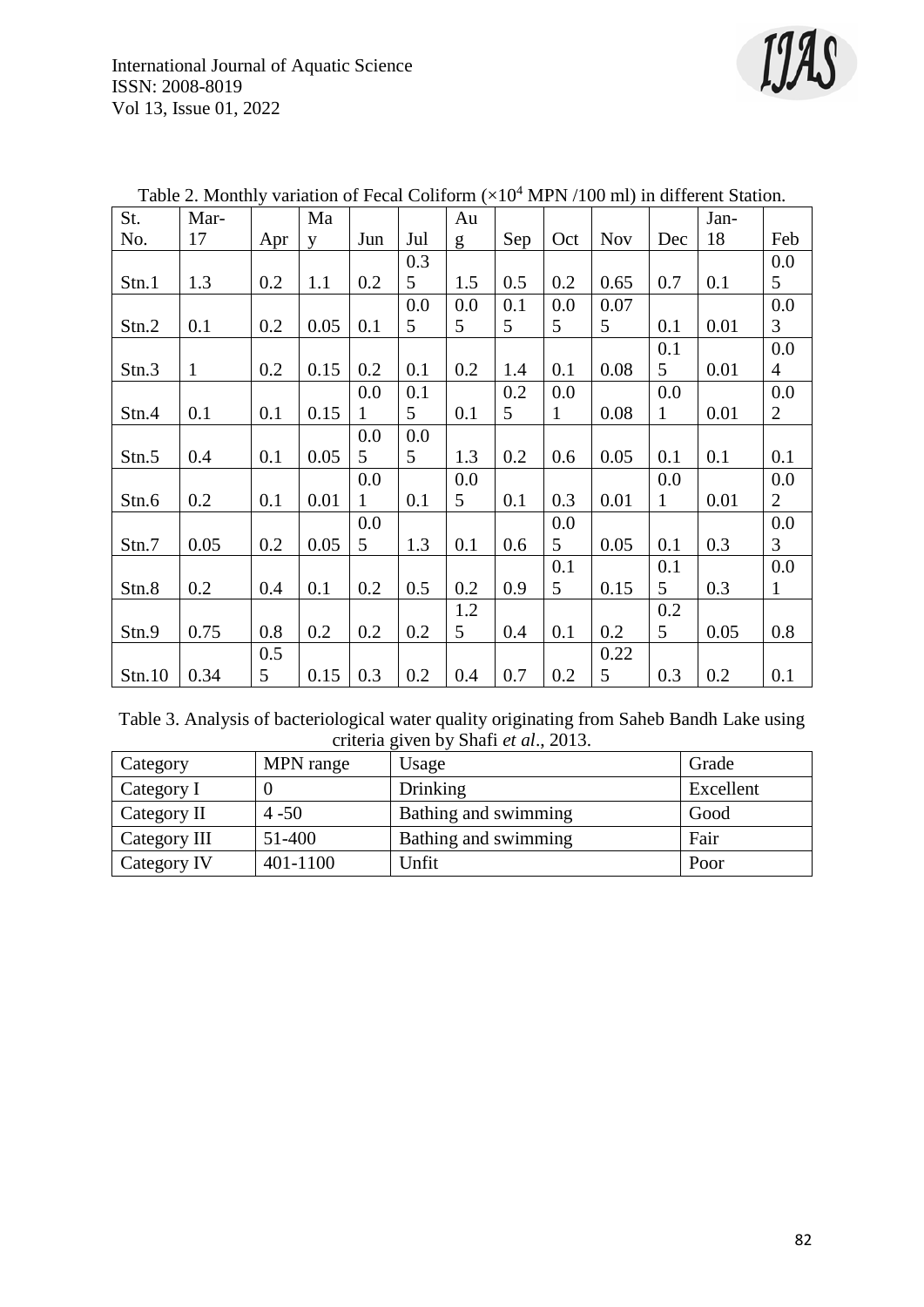

| St.    | Mar-         |     | Ma   |              |     | Au  |     |              |            |              | Jan- |                |
|--------|--------------|-----|------|--------------|-----|-----|-----|--------------|------------|--------------|------|----------------|
| No.    | 17           | Apr | V    | Jun          | Jul | g   | Sep | Oct          | <b>Nov</b> | Dec          | 18   | Feb            |
|        |              |     |      |              | 0.3 |     |     |              |            |              |      | 0.0            |
| Stn.1  | 1.3          | 0.2 | 1.1  | 0.2          | 5   | 1.5 | 0.5 | 0.2          | 0.65       | 0.7          | 0.1  | 5              |
|        |              |     |      |              | 0.0 | 0.0 | 0.1 | 0.0          | 0.07       |              |      | 0.0            |
| Stn.2  | 0.1          | 0.2 | 0.05 | 0.1          | 5   | 5   | 5   | 5            | 5          | 0.1          | 0.01 | $\overline{3}$ |
|        |              |     |      |              |     |     |     |              |            | 0.1          |      | 0.0            |
| Stn.3  | $\mathbf{1}$ | 0.2 | 0.15 | 0.2          | 0.1 | 0.2 | 1.4 | 0.1          | 0.08       | 5            | 0.01 | 4              |
|        |              |     |      | 0.0          | 0.1 |     | 0.2 | 0.0          |            | 0.0          |      | 0.0            |
| Stn.4  | 0.1          | 0.1 | 0.15 | $\mathbf{1}$ | 5   | 0.1 | 5   | $\mathbf{1}$ | 0.08       | $\mathbf{1}$ | 0.01 | $\overline{2}$ |
|        |              |     |      | 0.0          | 0.0 |     |     |              |            |              |      |                |
| Stn.5  | 0.4          | 0.1 | 0.05 | 5            | 5   | 1.3 | 0.2 | 0.6          | 0.05       | 0.1          | 0.1  | 0.1            |
|        |              |     |      | 0.0          |     | 0.0 |     |              |            | 0.0          |      | 0.0            |
| Stn.6  | 0.2          | 0.1 | 0.01 | 1            | 0.1 | 5   | 0.1 | 0.3          | 0.01       | $\mathbf{1}$ | 0.01 | $\overline{2}$ |
|        |              |     |      | 0.0          |     |     |     | 0.0          |            |              |      | 0.0            |
| Stn.7  | 0.05         | 0.2 | 0.05 | 5            | 1.3 | 0.1 | 0.6 | 5            | 0.05       | 0.1          | 0.3  | $\overline{3}$ |
|        |              |     |      |              |     |     |     | 0.1          |            | 0.1          |      | 0.0            |
| Stn.8  | 0.2          | 0.4 | 0.1  | 0.2          | 0.5 | 0.2 | 0.9 | 5            | 0.15       | 5            | 0.3  | $\mathbf{1}$   |
|        |              |     |      |              |     | 1.2 |     |              |            | 0.2          |      |                |
| Stn.9  | 0.75         | 0.8 | 0.2  | 0.2          | 0.2 | 5   | 0.4 | 0.1          | 0.2        | 5            | 0.05 | 0.8            |
|        |              | 0.5 |      |              |     |     |     |              | 0.22       |              |      |                |
| Stn.10 | 0.34         | 5   | 0.15 | 0.3          | 0.2 | 0.4 | 0.7 | 0.2          | 5          | 0.3          | 0.2  | 0.1            |

Table 2. Monthly variation of Fecal Coliform  $(\times 10^4$  MPN /100 ml) in different Station.

Table 3. Analysis of bacteriological water quality originating from Saheb Bandh Lake using criteria given by Shafi *et al*., 2013.

| Category     | MPN range | Usage                | Grade     |
|--------------|-----------|----------------------|-----------|
| Category I   |           | Drinking             | Excellent |
| Category II  | $4 - 50$  | Bathing and swimming | Good      |
| Category III | 51-400    | Bathing and swimming | Fair      |
| Category IV  | 401-1100  | Unfit                | Poor      |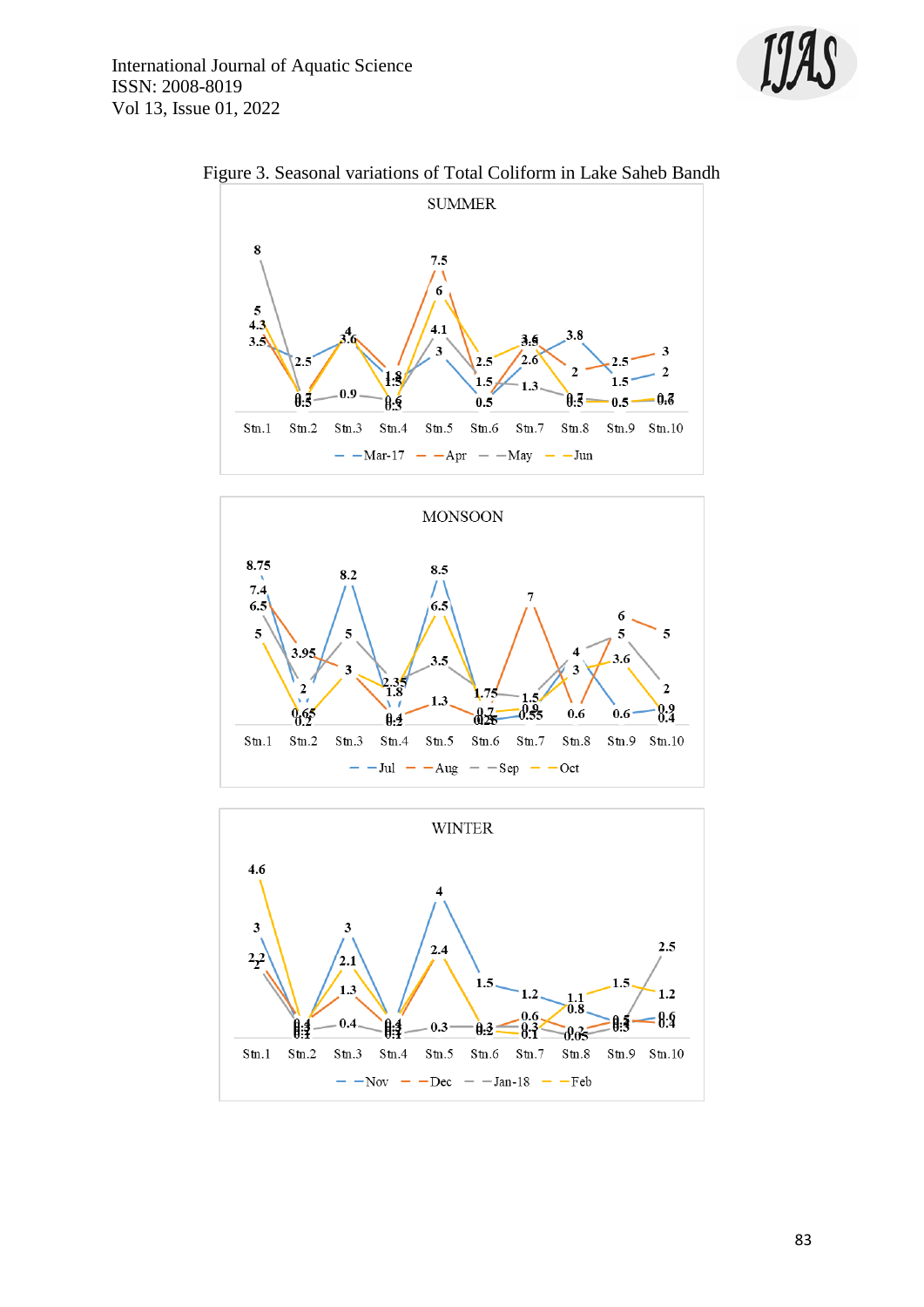



Figure 3. Seasonal variations of Total Coliform in Lake Saheb Bandh



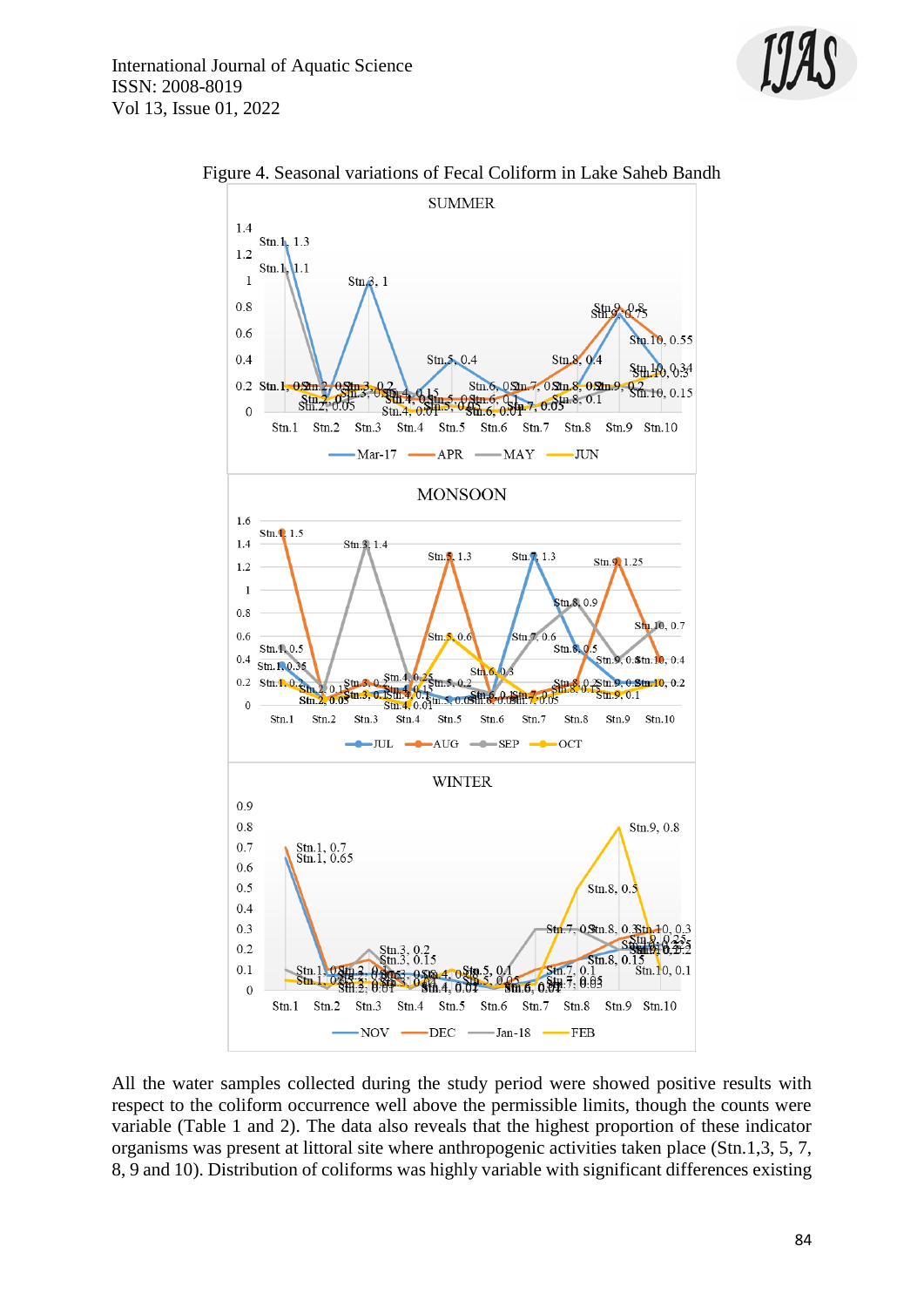



Figure 4. Seasonal variations of Fecal Coliform in Lake Saheb Bandh

All the water samples collected during the study period were showed positive results with respect to the coliform occurrence well above the permissible limits, though the counts were variable (Table 1 and 2). The data also reveals that the highest proportion of these indicator organisms was present at littoral site where anthropogenic activities taken place (Stn.1,3, 5, 7, 8, 9 and 10). Distribution of coliforms was highly variable with significant differences existing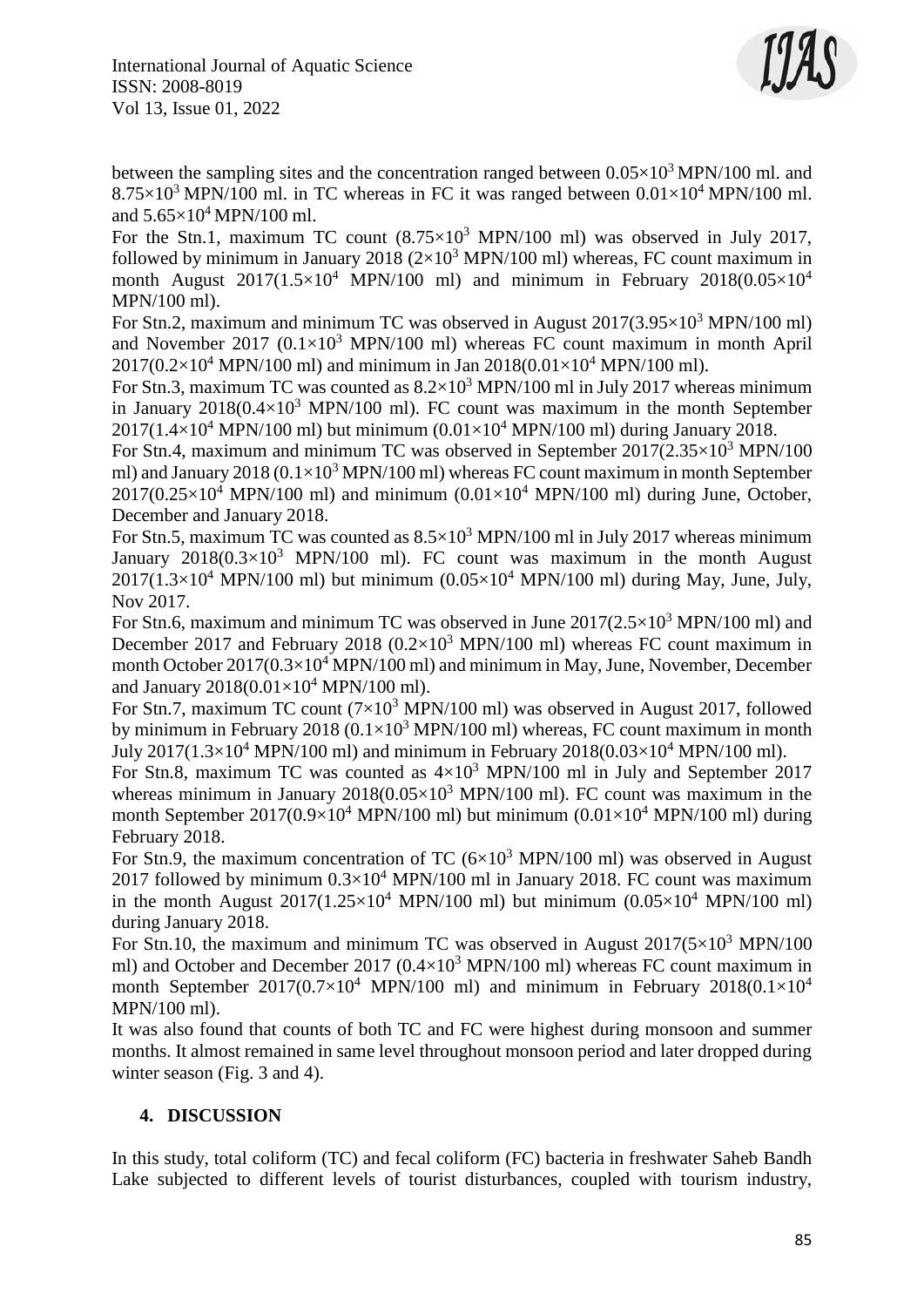

between the sampling sites and the concentration ranged between  $0.05\times10^3$  MPN/100 ml. and  $8.75\times10^3$  MPN/100 ml. in TC whereas in FC it was ranged between  $0.01\times10^4$  MPN/100 ml. and  $5.65\times10^4$  MPN/100 ml.

For the Stn.1, maximum TC count  $(8.75\times10^3$  MPN/100 ml) was observed in July 2017, followed by minimum in January 2018 ( $2\times10^3$  MPN/100 ml) whereas, FC count maximum in month August  $2017(1.5\times10^4$  MPN/100 ml) and minimum in February  $2018(0.05\times10^4$ MPN/100 ml).

For Stn.2, maximum and minimum TC was observed in August  $2017(3.95\times10^3$  MPN/100 ml) and November 2017 ( $0.1 \times 10^3$  MPN/100 ml) whereas FC count maximum in month April  $2017(0.2\times10^4 \text{ MPN}/100 \text{ ml})$  and minimum in Jan  $2018(0.01\times10^4 \text{ MPN}/100 \text{ ml})$ .

For Stn.3, maximum TC was counted as  $8.2\times10^3$  MPN/100 ml in July 2017 whereas minimum in January  $2018(0.4\times10^3$  MPN/100 ml). FC count was maximum in the month September  $2017(1.4\times10^{4}$  MPN/100 ml) but minimum  $(0.01\times10^{4}$  MPN/100 ml) during January 2018.

For Stn.4, maximum and minimum TC was observed in September  $2017(2.35\times10^3$  MPN/100 ml) and January 2018 ( $0.1\times10^3$  MPN/100 ml) whereas FC count maximum in month September  $2017(0.25\times10^4$  MPN/100 ml) and minimum  $(0.01\times10^4$  MPN/100 ml) during June, October, December and January 2018.

For Stn.5, maximum TC was counted as  $8.5 \times 10^3$  MPN/100 ml in July 2017 whereas minimum January  $2018(0.3\times10^3$  MPN/100 ml). FC count was maximum in the month August  $2017(1.3\times10^4$  MPN/100 ml) but minimum  $(0.05\times10^4$  MPN/100 ml) during May, June, July, Nov 2017.

For Stn.6, maximum and minimum TC was observed in June  $2017(2.5\times10^3 \text{ MPN}/100 \text{ ml})$  and December 2017 and February 2018 ( $0.2 \times 10^3$  MPN/100 ml) whereas FC count maximum in month October  $2017(0.3\times10^4$  MPN/100 ml) and minimum in May, June, November, December and January 2018(0.01×10<sup>4</sup> MPN/100 ml).

For Stn.7, maximum TC count  $(7\times10^3$  MPN/100 ml) was observed in August 2017, followed by minimum in February 2018 ( $0.1\times10^3$  MPN/100 ml) whereas, FC count maximum in month July 2017(1.3×10<sup>4</sup> MPN/100 ml) and minimum in February 2018(0.03×10<sup>4</sup> MPN/100 ml).

For Stn.8, maximum TC was counted as  $4\times10^3$  MPN/100 ml in July and September 2017 whereas minimum in January  $2018(0.05\times10^3$  MPN/100 ml). FC count was maximum in the month September  $2017(0.9\times10^4$  MPN/100 ml) but minimum  $(0.01\times10^4$  MPN/100 ml) during February 2018.

For Stn.9, the maximum concentration of TC  $(6\times10^3 \text{ MPN}/100 \text{ ml})$  was observed in August 2017 followed by minimum  $0.3\times10^4$  MPN/100 ml in January 2018. FC count was maximum in the month August  $2017(1.25\times10^4$  MPN/100 ml) but minimum  $(0.05\times10^4$  MPN/100 ml) during January 2018.

For Stn.10, the maximum and minimum TC was observed in August  $2017(5\times10^3 \text{ MPN}/100$ ml) and October and December 2017 ( $0.4 \times 10^3$  MPN/100 ml) whereas FC count maximum in month September  $2017(0.7\times10^4$  MPN/100 ml) and minimum in February  $2018(0.1\times10^4$ MPN/100 ml).

It was also found that counts of both TC and FC were highest during monsoon and summer months. It almost remained in same level throughout monsoon period and later dropped during winter season (Fig. 3 and 4).

# **4. DISCUSSION**

In this study, total coliform (TC) and fecal coliform (FC) bacteria in freshwater Saheb Bandh Lake subjected to different levels of tourist disturbances, coupled with tourism industry,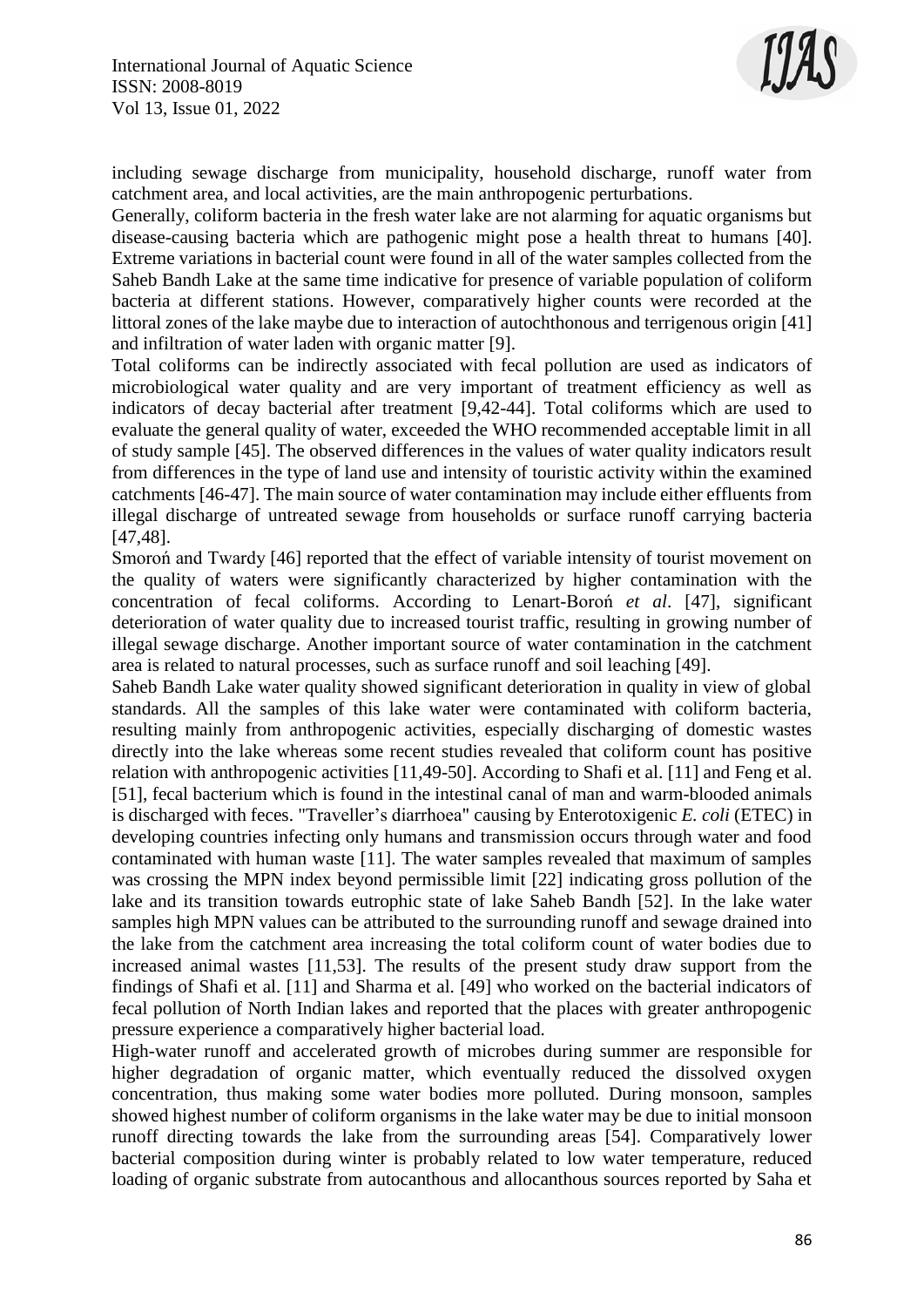

including sewage discharge from municipality, household discharge, runoff water from catchment area, and local activities, are the main anthropogenic perturbations.

Generally, coliform bacteria in the fresh water lake are not alarming for aquatic organisms but disease-causing bacteria which are pathogenic might pose a health threat to humans [40]. Extreme variations in bacterial count were found in all of the water samples collected from the Saheb Bandh Lake at the same time indicative for presence of variable population of coliform bacteria at different stations. However, comparatively higher counts were recorded at the littoral zones of the lake maybe due to interaction of autochthonous and terrigenous origin [41] and infiltration of water laden with organic matter [9].

Total coliforms can be indirectly associated with fecal pollution are used as indicators of microbiological water quality and are very important of treatment efficiency as well as indicators of decay bacterial after treatment [9,42-44]. Total coliforms which are used to evaluate the general quality of water, exceeded the WHO recommended acceptable limit in all of study sample [45]. The observed differences in the values of water quality indicators result from differences in the type of land use and intensity of touristic activity within the examined catchments [46-47]. The main source of water contamination may include either effluents from illegal discharge of untreated sewage from households or surface runoff carrying bacteria [47,48].

Smoroń and Twardy [46] reported that the effect of variable intensity of tourist movement on the quality of waters were significantly characterized by higher contamination with the concentration of fecal coliforms. According to Lenart-Boroń *et al*. [47], significant deterioration of water quality due to increased tourist traffic, resulting in growing number of illegal sewage discharge. Another important source of water contamination in the catchment area is related to natural processes, such as surface runoff and soil leaching [49].

Saheb Bandh Lake water quality showed significant deterioration in quality in view of global standards. All the samples of this lake water were contaminated with coliform bacteria, resulting mainly from anthropogenic activities, especially discharging of domestic wastes directly into the lake whereas some recent studies revealed that coliform count has positive relation with anthropogenic activities [11,49-50]. According to Shafi et al. [11] and Feng et al. [51], fecal bacterium which is found in the intestinal canal of man and warm-blooded animals is discharged with feces. "Traveller's diarrhoea" causing by Enterotoxigenic *E. coli* (ETEC) in developing countries infecting only humans and transmission occurs through water and food contaminated with human waste [11]. The water samples revealed that maximum of samples was crossing the MPN index beyond permissible limit [22] indicating gross pollution of the lake and its transition towards eutrophic state of lake Saheb Bandh [52]. In the lake water samples high MPN values can be attributed to the surrounding runoff and sewage drained into the lake from the catchment area increasing the total coliform count of water bodies due to increased animal wastes [11,53]. The results of the present study draw support from the findings of Shafi et al. [11] and Sharma et al. [49] who worked on the bacterial indicators of fecal pollution of North Indian lakes and reported that the places with greater anthropogenic pressure experience a comparatively higher bacterial load.

High-water runoff and accelerated growth of microbes during summer are responsible for higher degradation of organic matter, which eventually reduced the dissolved oxygen concentration, thus making some water bodies more polluted. During monsoon, samples showed highest number of coliform organisms in the lake water may be due to initial monsoon runoff directing towards the lake from the surrounding areas [54]. Comparatively lower bacterial composition during winter is probably related to low water temperature, reduced loading of organic substrate from autocanthous and allocanthous sources reported by Saha et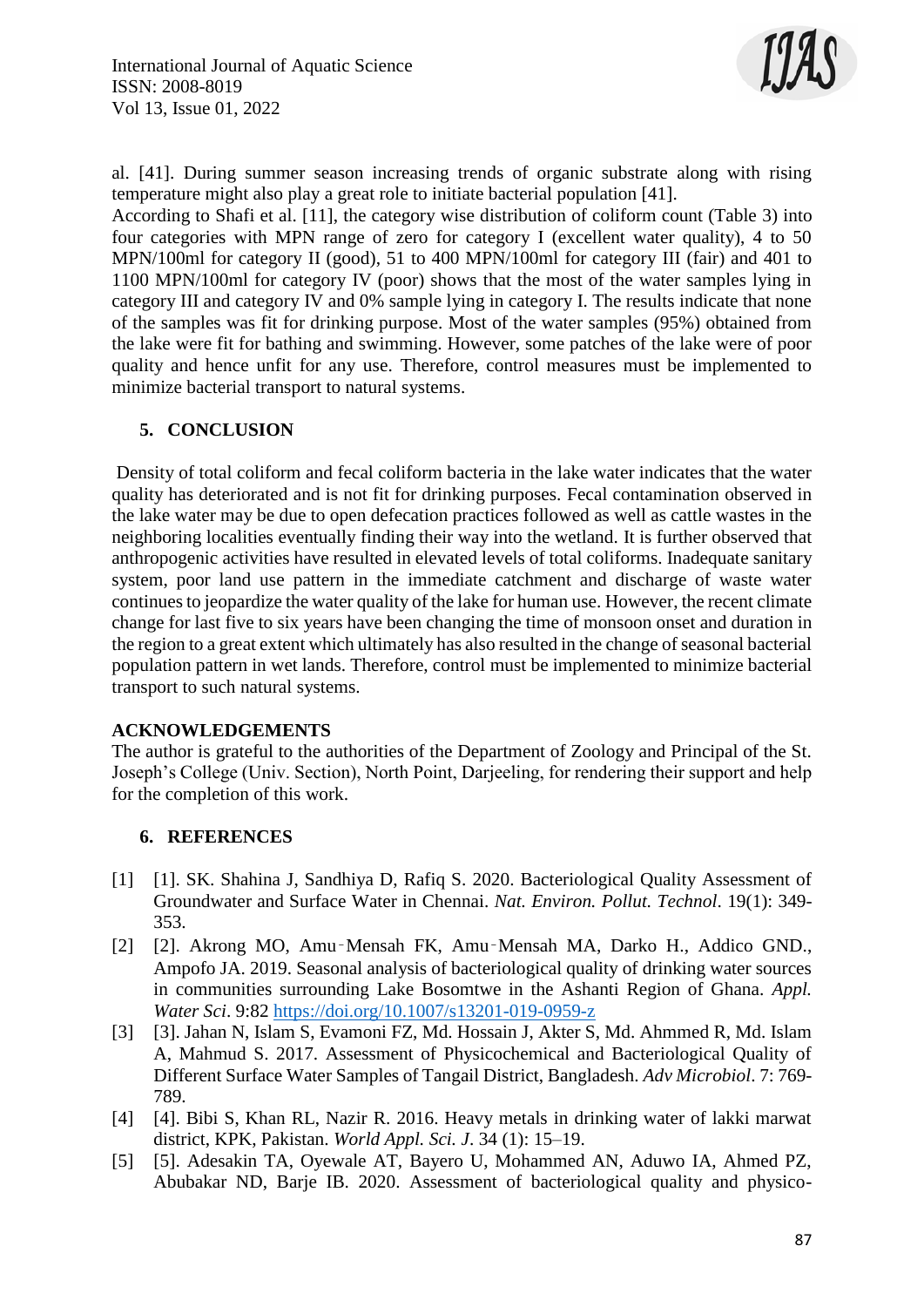

al. [41]. During summer season increasing trends of organic substrate along with rising temperature might also play a great role to initiate bacterial population [41]. According to Shafi et al. [11], the category wise distribution of coliform count (Table 3) into four categories with MPN range of zero for category I (excellent water quality), 4 to 50 MPN/100ml for category II (good), 51 to 400 MPN/100ml for category III (fair) and 401 to 1100 MPN/100ml for category IV (poor) shows that the most of the water samples lying in category III and category IV and 0% sample lying in category I. The results indicate that none of the samples was fit for drinking purpose. Most of the water samples (95%) obtained from

the lake were fit for bathing and swimming. However, some patches of the lake were of poor quality and hence unfit for any use. Therefore, control measures must be implemented to minimize bacterial transport to natural systems.

# **5. CONCLUSION**

Density of total coliform and fecal coliform bacteria in the lake water indicates that the water quality has deteriorated and is not fit for drinking purposes. Fecal contamination observed in the lake water may be due to open defecation practices followed as well as cattle wastes in the neighboring localities eventually finding their way into the wetland. It is further observed that anthropogenic activities have resulted in elevated levels of total coliforms. Inadequate sanitary system, poor land use pattern in the immediate catchment and discharge of waste water continues to jeopardize the water quality of the lake for human use. However, the recent climate change for last five to six years have been changing the time of monsoon onset and duration in the region to a great extent which ultimately has also resulted in the change of seasonal bacterial population pattern in wet lands. Therefore, control must be implemented to minimize bacterial transport to such natural systems.

# **ACKNOWLEDGEMENTS**

The author is grateful to the authorities of the Department of Zoology and Principal of the St. Joseph's College (Univ. Section), North Point, Darjeeling, for rendering their support and help for the completion of this work.

# **6. REFERENCES**

- [1] [1]. SK. Shahina J, Sandhiya D, Rafiq S. 2020. Bacteriological Quality Assessment of Groundwater and Surface Water in Chennai. *Nat. Environ. Pollut. Technol*. 19(1): 349- 353.
- [2] [2]. Akrong MO, Amu‑Mensah FK, Amu‑Mensah MA, Darko H., Addico GND., Ampofo JA. 2019. Seasonal analysis of bacteriological quality of drinking water sources in communities surrounding Lake Bosomtwe in the Ashanti Region of Ghana. *Appl. Water Sci*. 9:82<https://doi.org/10.1007/s13201-019-0959-z>
- [3] [3]. Jahan N, Islam S, Evamoni FZ, Md. Hossain J, Akter S, Md. Ahmmed R, Md. Islam A, Mahmud S. 2017. Assessment of Physicochemical and Bacteriological Quality of Different Surface Water Samples of Tangail District, Bangladesh. *Adv Microbiol*. 7: 769- 789.
- [4] [4]. Bibi S, Khan RL, Nazir R. 2016. Heavy metals in drinking water of lakki marwat district, KPK, Pakistan. *World Appl. Sci. J*. 34 (1): 15–19.
- [5] [5]. Adesakin TA, Oyewale AT, Bayero U, Mohammed AN, Aduwo IA, Ahmed PZ, Abubakar ND, Barje IB. 2020. Assessment of bacteriological quality and physico-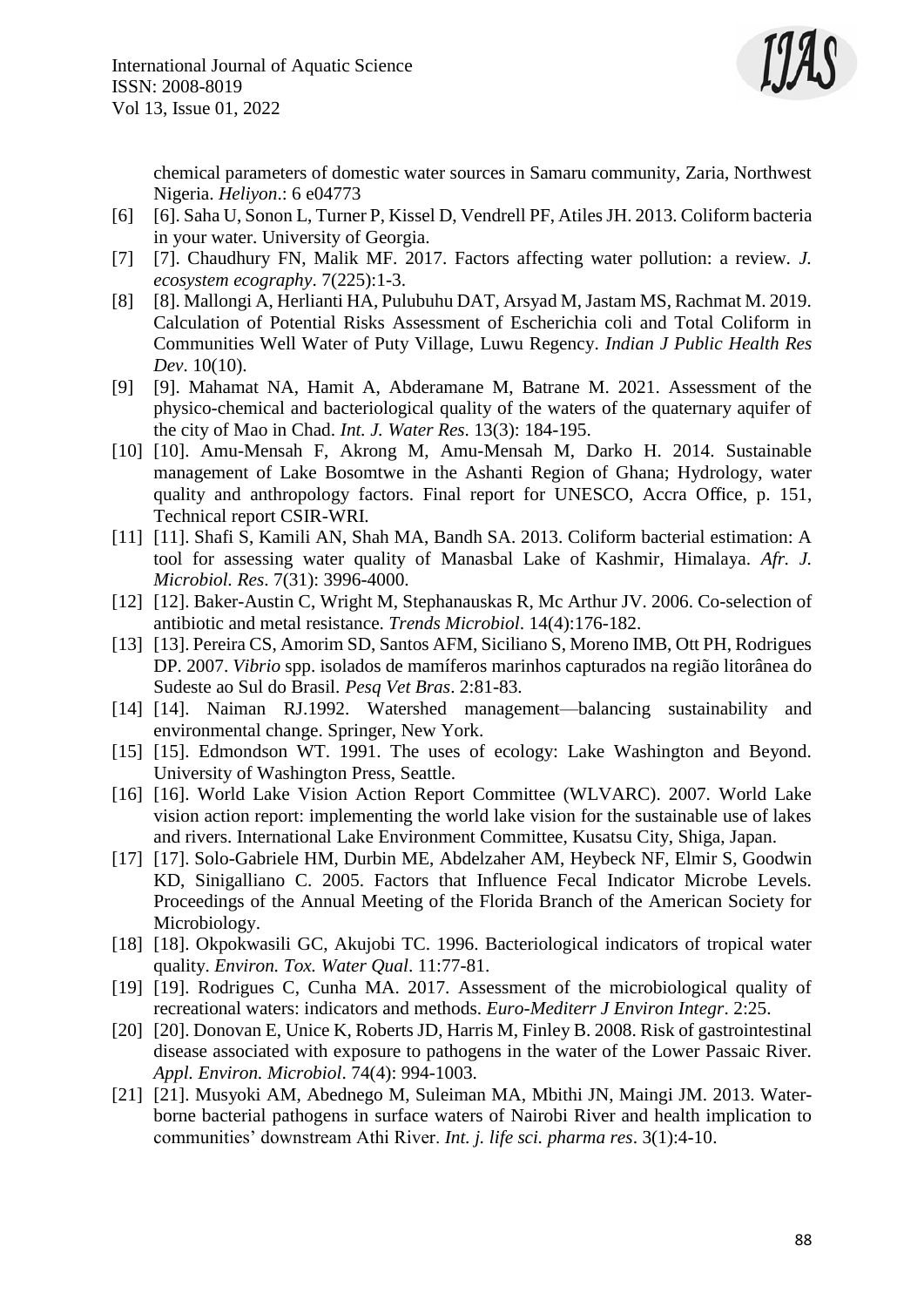

chemical parameters of domestic water sources in Samaru community, Zaria, Northwest Nigeria. *Heliyon*.: 6 e04773

- [6] [6]. Saha U, Sonon L, Turner P, Kissel D, Vendrell PF, Atiles JH. 2013. Coliform bacteria in your water. University of Georgia.
- [7] [7]. Chaudhury FN, Malik MF. 2017. Factors affecting water pollution: a review. *J. ecosystem ecography*. 7(225):1-3.
- [8] [8]. Mallongi A, Herlianti HA, Pulubuhu DAT, Arsyad M, Jastam MS, Rachmat M. 2019. Calculation of Potential Risks Assessment of Escherichia coli and Total Coliform in Communities Well Water of Puty Village, Luwu Regency. *Indian J Public Health Res Dev*. 10(10).
- [9] [9]. Mahamat NA, Hamit A, Abderamane M, Batrane M. 2021. Assessment of the physico-chemical and bacteriological quality of the waters of the quaternary aquifer of the city of Mao in Chad. *Int. J. Water Res*. 13(3): 184-195.
- [10] [10]. Amu-Mensah F, Akrong M, Amu-Mensah M, Darko H. 2014. Sustainable management of Lake Bosomtwe in the Ashanti Region of Ghana; Hydrology, water quality and anthropology factors. Final report for UNESCO, Accra Office, p. 151, Technical report CSIR-WRI.
- [11] [11]. Shafi S, Kamili AN, Shah MA, Bandh SA. 2013. Coliform bacterial estimation: A tool for assessing water quality of Manasbal Lake of Kashmir, Himalaya. *Afr. J. Microbiol. Res*. 7(31): 3996-4000.
- [12] [12]. Baker-Austin C, Wright M, Stephanauskas R, Mc Arthur JV. 2006. Co-selection of antibiotic and metal resistance. *Trends Microbiol*. 14(4):176-182.
- [13] [13]. Pereira CS, Amorim SD, Santos AFM, Siciliano S, Moreno IMB, Ott PH, Rodrigues DP. 2007. *Vibrio* spp. isolados de mamíferos marinhos capturados na região litorânea do Sudeste ao Sul do Brasil. *Pesq Vet Bras*. 2:81-83.
- [14] [14]. Naiman RJ.1992. Watershed management—balancing sustainability and environmental change. Springer, New York.
- [15] [15]. Edmondson WT. 1991. The uses of ecology: Lake Washington and Beyond. University of Washington Press, Seattle.
- [16] [16]. World Lake Vision Action Report Committee (WLVARC). 2007. World Lake vision action report: implementing the world lake vision for the sustainable use of lakes and rivers. International Lake Environment Committee, Kusatsu City, Shiga, Japan.
- [17] [17]. Solo-Gabriele HM, Durbin ME, Abdelzaher AM, Heybeck NF, Elmir S, Goodwin KD, Sinigalliano C. 2005. Factors that Influence Fecal Indicator Microbe Levels. Proceedings of the Annual Meeting of the Florida Branch of the American Society for Microbiology.
- [18] [18]. Okpokwasili GC, Akujobi TC. 1996. Bacteriological indicators of tropical water quality. *Environ. Tox. Water Qual*. 11:77-81.
- [19] [19]. Rodrigues C, Cunha MA. 2017. Assessment of the microbiological quality of recreational waters: indicators and methods. *Euro-Mediterr J Environ Integr*. 2:25.
- [20] [20]. Donovan E, Unice K, Roberts JD, Harris M, Finley B. 2008. Risk of gastrointestinal disease associated with exposure to pathogens in the water of the Lower Passaic River. *Appl. Environ. Microbiol*. 74(4): 994-1003.
- [21] [21]. Musyoki AM, Abednego M, Suleiman MA, Mbithi JN, Maingi JM. 2013. Waterborne bacterial pathogens in surface waters of Nairobi River and health implication to communities' downstream Athi River. *Int. j. life sci. pharma res*. 3(1):4-10.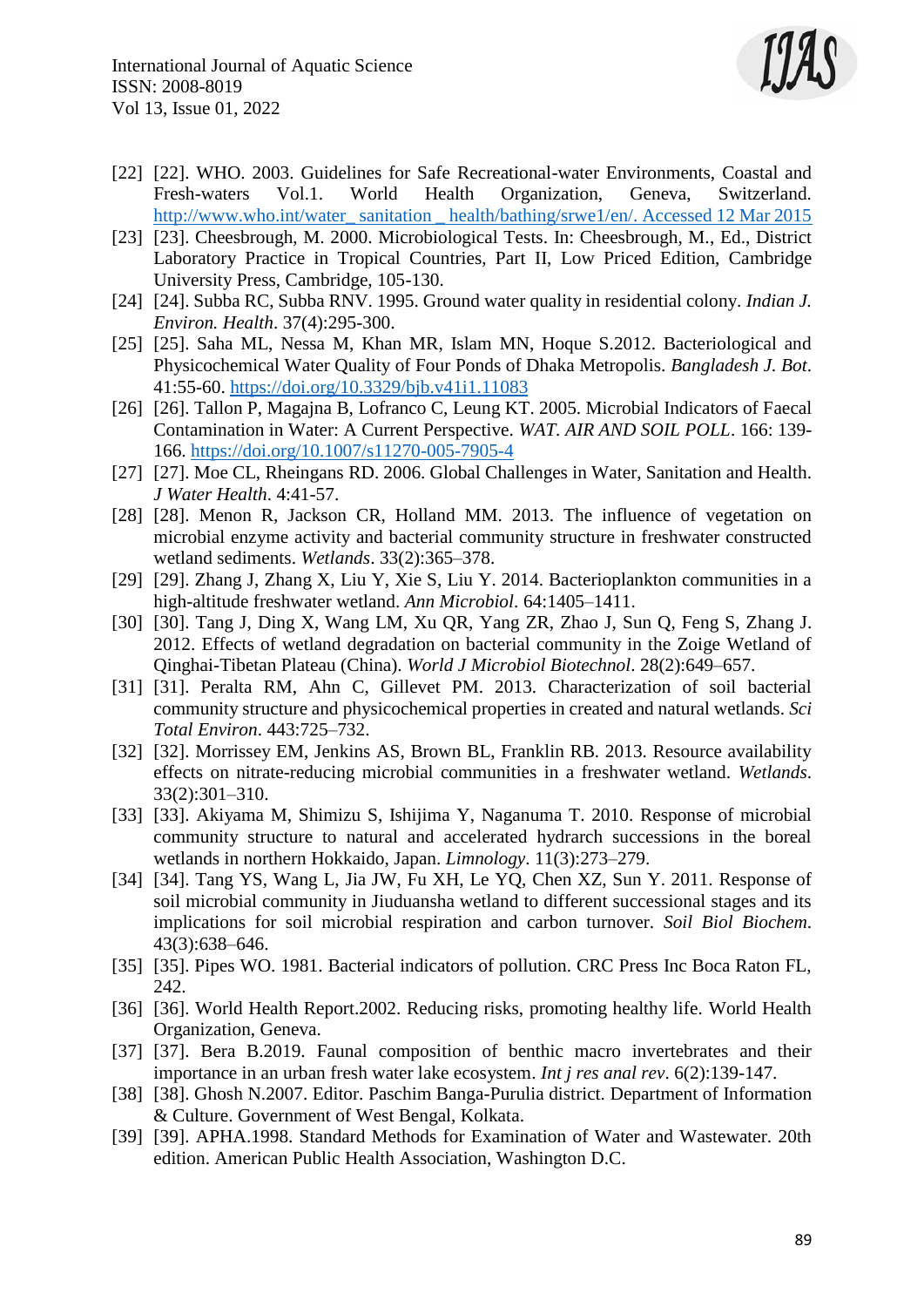

- [22] [22]. WHO. 2003. Guidelines for Safe Recreational-water Environments, Coastal and Fresh-waters Vol.1. World Health Organization, Geneva, Switzerland. http://www.who.int/water\_sanitation\_health/bathing/srwe1/en/. Accessed 12 Mar 2015
- [23] [23]. Cheesbrough, M. 2000. Microbiological Tests. In: Cheesbrough, M., Ed., District Laboratory Practice in Tropical Countries, Part II, Low Priced Edition, Cambridge University Press, Cambridge, 105-130.
- [24] [24]. Subba RC, Subba RNV. 1995. Ground water quality in residential colony. *Indian J. Environ. Health*. 37(4):295-300.
- [25] [25]. Saha ML, Nessa M, Khan MR, Islam MN, Hoque S.2012. Bacteriological and Physicochemical Water Quality of Four Ponds of Dhaka Metropolis. *Bangladesh J. Bot*. 41:55-60.<https://doi.org/10.3329/bjb.v41i1.11083>
- [26] [26]. Tallon P, Magajna B, Lofranco C, Leung KT. 2005. Microbial Indicators of Faecal Contamination in Water: A Current Perspective. *WAT. AIR AND SOIL POLL*. 166: 139- 166.<https://doi.org/10.1007/s11270-005-7905-4>
- [27] [27]. Moe CL, Rheingans RD. 2006. Global Challenges in Water, Sanitation and Health. *J Water Health*. 4:41-57.
- [28] [28]. Menon R, Jackson CR, Holland MM. 2013. The influence of vegetation on microbial enzyme activity and bacterial community structure in freshwater constructed wetland sediments. *Wetlands*. 33(2):365–378.
- [29] [29]. Zhang J, Zhang X, Liu Y, Xie S, Liu Y. 2014. Bacterioplankton communities in a high-altitude freshwater wetland. *Ann Microbiol*. 64:1405–1411.
- [30] [30]. Tang J, Ding X, Wang LM, Xu QR, Yang ZR, Zhao J, Sun Q, Feng S, Zhang J. 2012. Effects of wetland degradation on bacterial community in the Zoige Wetland of Qinghai-Tibetan Plateau (China). *World J Microbiol Biotechnol*. 28(2):649–657.
- [31] [31]. Peralta RM, Ahn C, Gillevet PM. 2013. Characterization of soil bacterial community structure and physicochemical properties in created and natural wetlands. *Sci Total Environ*. 443:725–732.
- [32] [32]. Morrissey EM, Jenkins AS, Brown BL, Franklin RB. 2013. Resource availability effects on nitrate-reducing microbial communities in a freshwater wetland. *Wetlands*. 33(2):301–310.
- [33] [33]. Akiyama M, Shimizu S, Ishijima Y, Naganuma T. 2010. Response of microbial community structure to natural and accelerated hydrarch successions in the boreal wetlands in northern Hokkaido, Japan. *Limnology*. 11(3):273–279.
- [34] [34]. Tang YS, Wang L, Jia JW, Fu XH, Le YQ, Chen XZ, Sun Y. 2011. Response of soil microbial community in Jiuduansha wetland to different successional stages and its implications for soil microbial respiration and carbon turnover. *Soil Biol Biochem*. 43(3):638–646.
- [35] [35]. Pipes WO. 1981. Bacterial indicators of pollution. CRC Press Inc Boca Raton FL, 242.
- [36] [36]. World Health Report. 2002. Reducing risks, promoting healthy life. World Health Organization, Geneva.
- [37] [37]. Bera B.2019. Faunal composition of benthic macro invertebrates and their importance in an urban fresh water lake ecosystem. *Int j res anal rev*. 6(2):139-147.
- [38] [38]. Ghosh N.2007. Editor. Paschim Banga-Purulia district. Department of Information & Culture. Government of West Bengal, Kolkata.
- [39] [39]. APHA.1998. Standard Methods for Examination of Water and Wastewater. 20th edition. American Public Health Association, Washington D.C.